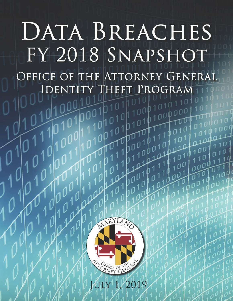# DATA BREACHES FY 2018 SNAPSHOT OFFICE OF THE ATTORNEY GENERAL  $\mathbf{P}$ **ROGRAM IDEN**



1/2019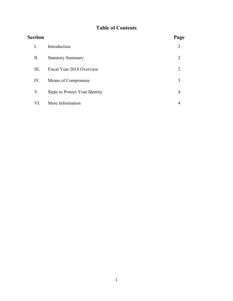# **Table of Contents**

| <b>Section</b> |                                | Page |
|----------------|--------------------------------|------|
| I.             | Introduction                   | 2    |
| П.             | <b>Statutory Summary</b>       | 2    |
| III.           | Fiscal Year 2018 Overview      | 2    |
| IV.            | Means of Compromise            | 3    |
| V.             | Steps to Protect Your Identity | 4    |
| VI.            | More Information               | 4    |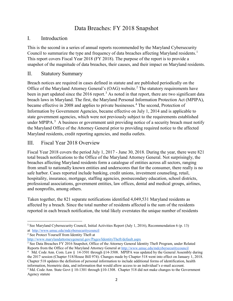# Data Breaches: FY 2018 Snapshot

## I. Introduction

This is the second in a series of annual reports recommended by the Maryland Cybersecurity Council to summarize the type and frequency of data breaches affecting Maryland residents.<sup>[1](#page-2-0)</sup> This report covers Fiscal Year 2018 (FY 2018). The purpose of the report is to provide a snapshot of the magnitude of data breaches, their causes, and their impact on Maryland residents.

# II. Statutory Summary

Breach notices are required in cases defined in statute and are published periodically on the Office of the Maryland Attorney General's (OAG) website.<sup>[2](#page-2-1)</sup> The statutory requirements have been in part updated since the 2016 report.<sup>[3](#page-2-2)</sup> As noted in that report, there are two significant data breach laws in Maryland. The first, the Maryland Personal Information Protection Act (MPIPA), became effective in 2008 and applies to private businesses.<sup>[4](#page-2-3)</sup> The second, Protection of Information by Government Agencies, became effective on July 1, 2014 and is applicable to state government agencies, which were not previously subject to the requirements established under MPIPA.<sup>[5](#page-2-4)</sup> A business or government unit providing notice of a security breach must notify the Maryland Office of the Attorney General prior to providing required notice to the affected Maryland residents, credit reporting agencies, and media outlets.

# III. Fiscal Year 2018 Overview

Fiscal Year 2018 covers the period July 1, 2017 - June 30, 2018. During the year, there were 821 total breach notifications to the Office of the Maryland Attorney General. Not surprisingly, the breaches affecting Maryland residents form a catalogue of entities across all sectors, ranging from small to nationally known entities and underscores that for the consumer, there really is no safe harbor. Cases reported include banking, credit unions, investment counseling, retail, hospitality, insurance, mortgage, staffing agencies, postsecondary education, school districts, professional associations, government entities, law offices, dental and medical groups, airlines, and nonprofits, among others.

Taken together, the 821 separate notifications identified 4,049,531 Maryland residents as affected by a breach. Since the total number of residents affected is the sum of the residents reported in each breach notification, the total likely overstates the unique number of residents

l

<span id="page-2-0"></span><sup>&</sup>lt;sup>1</sup> See Maryland Cybersecurity Council, Initial Activities Report (July 1, 2016), Recommendation 6 (p. 13) at <http://www.umuc.edu/mdcybersecuritycouncil>

<span id="page-2-1"></span><sup>2</sup> See Protect Yourself from Identity Theft at

<span id="page-2-2"></span>http://www.marylandattorneygeneral.gov/Pages/IdentityTheft/default.aspx<br><sup>3</sup> See Data Breaches FY 2016 Snapshot, Office of the Attorney General Identity Theft Program, under Related Reports from the Office of the Maryland Attorney General at<http://www.umuc.edu/mdcybersecuritycouncil>

<span id="page-2-4"></span><span id="page-2-3"></span><sup>&</sup>lt;sup>4</sup> Md. Code Ann. Com. Law § 14-3501 through §14-3508. MPIPA was updated by the General Assembly during the 2017 session (Chapter 518/House Bill 974). Changes made by Chapter 518 went into effect on January 1, 2018. Chapter 518 updates the definition of personal information to include additional forms of identification, health information, biometric data, and information that would allow access to an individual's e-mail account. 5 Md. Code Ann. State Govt § 10-1301 through §10-1308. Chapter 518 did not make changes to the Government Agency statute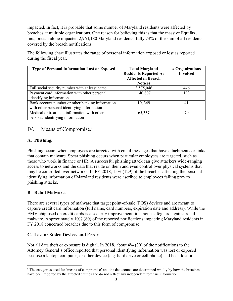impacted. In fact, it is probable that some number of Maryland residents were affected by breaches at multiple organizations. One reason for believing this is that the massive Equifax, Inc., breach alone impacted 2,964,180 Maryland residents; fully 73% of the sum of all residents covered by the breach notifications.

The following chart illustrates the range of personal information exposed or lost as reported during the fiscal year.

| <b>Type of Personal Information Lost or Exposed</b>                                             | <b>Total Maryland</b><br><b>Residents Reported As</b><br><b>Affected in Breach</b><br><b>Notices</b> | # Organizations<br><b>Involved</b> |
|-------------------------------------------------------------------------------------------------|------------------------------------------------------------------------------------------------------|------------------------------------|
| Full social security number with at least name                                                  | 3,575,046                                                                                            | 446                                |
| Payment card information with other personal<br>identifying information                         | 140,807                                                                                              | 193                                |
| Bank account number or other banking information<br>with other personal identifying information | 10, 349                                                                                              | 41                                 |
| Medical or treatment information with other<br>personal identifying information                 | 65,337                                                                                               | 70                                 |

# IV. Means of Compromise.<sup>[6](#page-3-0)</sup>

#### **A. Phishing.**

Phishing occurs when employees are targeted with email messages that have attachments or links that contain malware. Spear phishing occurs when particular employees are targeted, such as those who work in finance or HR. A successful phishing attack can give attackers wide-ranging access to networks and the data that reside on them and even control over physical systems that may be controlled over networks. In FY 2018, 15% (129) of the breaches affecting the personal identifying information of Maryland residents were ascribed to employees falling prey to phishing attacks.

#### **B. Retail Malware.**

 $\overline{\phantom{a}}$ 

There are several types of malware that target point-of-sale (POS) devices and are meant to capture credit card information (full name, card numbers, expiration date and address). While the EMV chip used on credit cards is a security improvement, it is not a safeguard against retail malware. Approximately 10% (80) of the reported notifications impacting Maryland residents in FY 2018 concerned breaches due to this form of compromise.

#### **C. Lost or Stolen Devices and Error**

Not all data theft or exposure is digital. In 2018, about 4% (30) of the notifications to the Attorney General's office reported that personal identifying information was lost or exposed because a laptop, computer, or other device (e.g. hard drive or cell phone) had been lost or

<span id="page-3-0"></span><sup>6</sup> The categories used for 'means of compromise' and the data counts are determined wholly by how the breaches have been reported by the affected entities and do not reflect any independent forensic information.